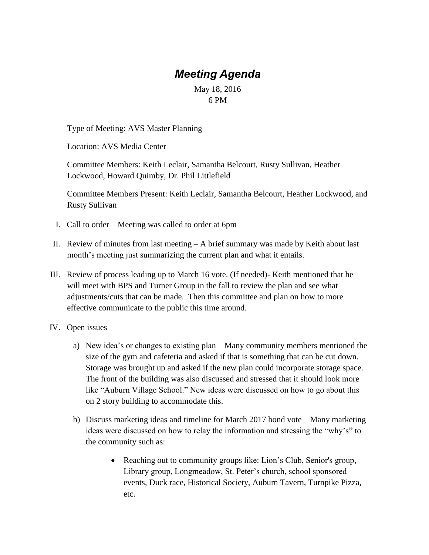## *Meeting Agenda*

## May 18, 2016 6 PM

Type of Meeting: AVS Master Planning

Location: AVS Media Center

Committee Members: Keith Leclair, Samantha Belcourt, Rusty Sullivan, Heather Lockwood, Howard Quimby, Dr. Phil Littlefield

Committee Members Present: Keith Leclair, Samantha Belcourt, Heather Lockwood, and Rusty Sullivan

- I. Call to order Meeting was called to order at 6pm
- II. Review of minutes from last meeting A brief summary was made by Keith about last month's meeting just summarizing the current plan and what it entails.
- III. Review of process leading up to March 16 vote. (If needed)- Keith mentioned that he will meet with BPS and Turner Group in the fall to review the plan and see what adjustments/cuts that can be made. Then this committee and plan on how to more effective communicate to the public this time around.
- IV. Open issues
	- a) New idea's or changes to existing plan Many community members mentioned the size of the gym and cafeteria and asked if that is something that can be cut down. Storage was brought up and asked if the new plan could incorporate storage space. The front of the building was also discussed and stressed that it should look more like "Auburn Village School." New ideas were discussed on how to go about this on 2 story building to accommodate this.
	- b) Discuss marketing ideas and timeline for March 2017 bond vote Many marketing ideas were discussed on how to relay the information and stressing the "why's" to the community such as:
		- Reaching out to community groups like: Lion's Club, Senior's group, Library group, Longmeadow, St. Peter's church, school sponsored events, Duck race, Historical Society, Auburn Tavern, Turnpike Pizza, etc.